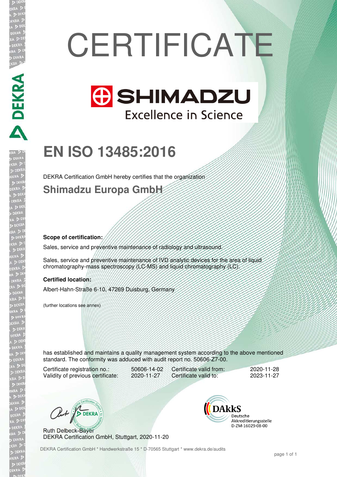# **CERTIFICATE**



## **EN ISO 13485:2016**

DEKRA Certification GmbH hereby certifies that the organization

**Shimadzu Europa GmbH** 

#### **Scope of certification:**

**CRAP DEMANDA** 

Sales, service and preventive maintenance of radiology and ultrasound.

Sales, service and preventive maintenance of IVD analytic devices for the area of liquid chromatography-mass spectroscopy (LC-MS) and liquid chromatography (LC).

#### **Certified location:**

Albert-Hahn-Straße 6-10, 47269 Duisburg, Germany

(further locations see annex)

has established and maintains a quality management system according to the above mentioned standard. The conformity was adduced with audit report no. 50606-Z7-00.

Certificate registration no.: 50606-14-02<br>Validity of previous certificate: 2020-11-27 Validity of previous certificate:

Certificate valid from: 2020-11-28<br>Certificate valid to: 2023-11-27 Certificate valid to:

Out / DEKRA

Ruth Delbeck-Bayer DEKRA Certification GmbH, Stuttgart, 2020-11-20



DEKRA Certification GmbH \* Handwerkstraße 15 \* D-70565 Stuttgart \* www.dekra.de/audits